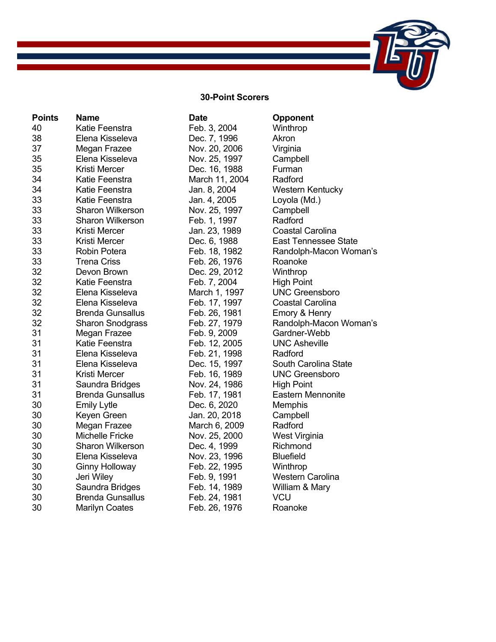## **30-Point Scorers**

| <b>Points</b> | <b>Name</b>             | <b>Date</b>    | Opponent                    |
|---------------|-------------------------|----------------|-----------------------------|
| 40            | Katie Feenstra          | Feb. 3, 2004   | Winthrop                    |
| 38            | Elena Kisseleva         | Dec. 7, 1996   | Akron                       |
| 37            | Megan Frazee            | Nov. 20, 2006  | Virginia                    |
| 35            | Elena Kisseleva         | Nov. 25, 1997  | Campbell                    |
| 35            | Kristi Mercer           | Dec. 16, 1988  | Furman                      |
| 34            | Katie Feenstra          | March 11, 2004 | Radford                     |
| 34            | Katie Feenstra          | Jan. 8, 2004   | <b>Western Kentucky</b>     |
| 33            | Katie Feenstra          | Jan. 4, 2005   | Loyola (Md.)                |
| 33            | <b>Sharon Wilkerson</b> | Nov. 25, 1997  | Campbell                    |
| 33            | <b>Sharon Wilkerson</b> | Feb. 1, 1997   | Radford                     |
| 33            | <b>Kristi Mercer</b>    | Jan. 23, 1989  | <b>Coastal Carolina</b>     |
| 33            | Kristi Mercer           | Dec. 6, 1988   | <b>East Tennessee State</b> |
| 33            | <b>Robin Potera</b>     | Feb. 18, 1982  | Randolph-Macon Woman's      |
| 33            | <b>Trena Criss</b>      | Feb. 26, 1976  | Roanoke                     |
| 32            | Devon Brown             | Dec. 29, 2012  | Winthrop                    |
| 32            | Katie Feenstra          | Feb. 7, 2004   | <b>High Point</b>           |
| 32            | Elena Kisseleva         | March 1, 1997  | <b>UNC Greensboro</b>       |
| 32            | Elena Kisseleva         | Feb. 17, 1997  | Coastal Carolina            |
| 32            | <b>Brenda Gunsallus</b> | Feb. 26, 1981  | Emory & Henry               |
| 32            | <b>Sharon Snodgrass</b> | Feb. 27, 1979  | Randolph-Macon Woman's      |
| 31            | Megan Frazee            | Feb. 9, 2009   | Gardner-Webb                |
| 31            | Katie Feenstra          | Feb. 12, 2005  | <b>UNC Asheville</b>        |
| 31            | Elena Kisseleva         | Feb. 21, 1998  | Radford                     |
| 31            | Elena Kisseleva         | Dec. 15, 1997  | South Carolina State        |
| 31            | Kristi Mercer           | Feb. 16, 1989  | <b>UNC Greensboro</b>       |
| 31            | Saundra Bridges         | Nov. 24, 1986  | <b>High Point</b>           |
| 31            | <b>Brenda Gunsallus</b> | Feb. 17, 1981  | <b>Eastern Mennonite</b>    |
| 30            | <b>Emily Lytle</b>      | Dec. 6, 2020   | Memphis                     |
| 30            | Keyen Green             | Jan. 20, 2018  | Campbell                    |
| 30            | Megan Frazee            | March 6, 2009  | Radford                     |
| 30            | <b>Michelle Fricke</b>  | Nov. 25, 2000  | West Virginia               |
| 30            | <b>Sharon Wilkerson</b> | Dec. 4, 1999   | Richmond                    |
| 30            | Elena Kisseleva         | Nov. 23, 1996  | <b>Bluefield</b>            |
| 30            | <b>Ginny Holloway</b>   | Feb. 22, 1995  | Winthrop                    |
| 30            | Jeri Wiley              | Feb. 9, 1991   | <b>Western Carolina</b>     |
| 30            | Saundra Bridges         | Feb. 14, 1989  | William & Mary              |
| 30            | <b>Brenda Gunsallus</b> | Feb. 24, 1981  | <b>VCU</b>                  |
| 30            | <b>Marilyn Coates</b>   | Feb. 26, 1976  | Roanoke                     |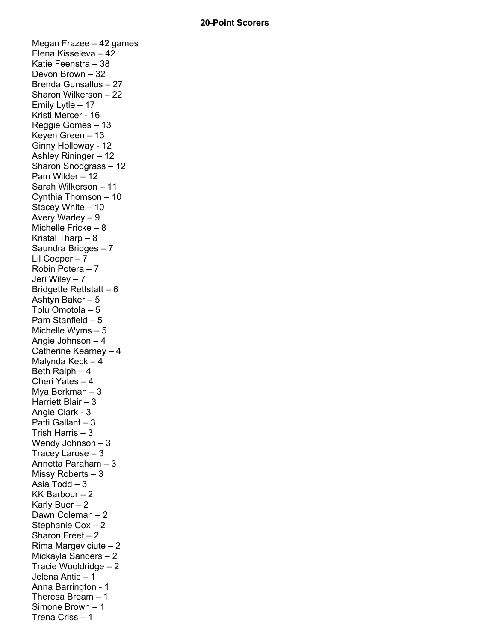Megan Frazee – 42 games Elena Kisseleva – 42 Katie Feenstra – 38 Devon Brown – 32 Brenda Gunsallus – 27 Sharon Wilkerson – 22 Emily Lytle – 17 Kristi Mercer - 16 Reggie Gomes – 13 Keyen Green – 13 Ginny Holloway - 12 Ashley Rininger – 12 Sharon Snodgrass – 12 Pam Wilder – 12 Sarah Wilkerson – 11 Cynthia Thomson – 10 Stacey White – 10 Avery Warley – 9 Michelle Fricke – 8 Kristal Tharp – 8 Saundra Bridges – 7 Lil Cooper – 7 Robin Potera – 7 Jeri Wiley – 7 Bridgette Rettstatt – 6 Ashtyn Baker – 5 Tolu Omotola – 5 Pam Stanfield – 5 Michelle Wyms – 5 Angie Johnson – 4 Catherine Kearney – 4 Malynda Keck – 4 Beth Ralph – 4 Cheri Yates – 4 Mya Berkman – 3 Harriett Blair – 3 Angie Clark - 3 Patti Gallant – 3 Trish Harris – 3 Wendy Johnson – 3 Tracey Larose – 3 Annetta Paraham – 3 Missy Roberts – 3 Asia Todd – 3 KK Barbour – 2 Karly Buer – 2 Dawn Coleman – 2 Stephanie Cox – 2 Sharon Freet – 2 Rima Margeviciute – 2 Mickayla Sanders – 2 Tracie Wooldridge – 2 Jelena Antic – 1 Anna Barrington - 1 Theresa Bream – 1 Simone Brown – 1 Trena Criss – 1